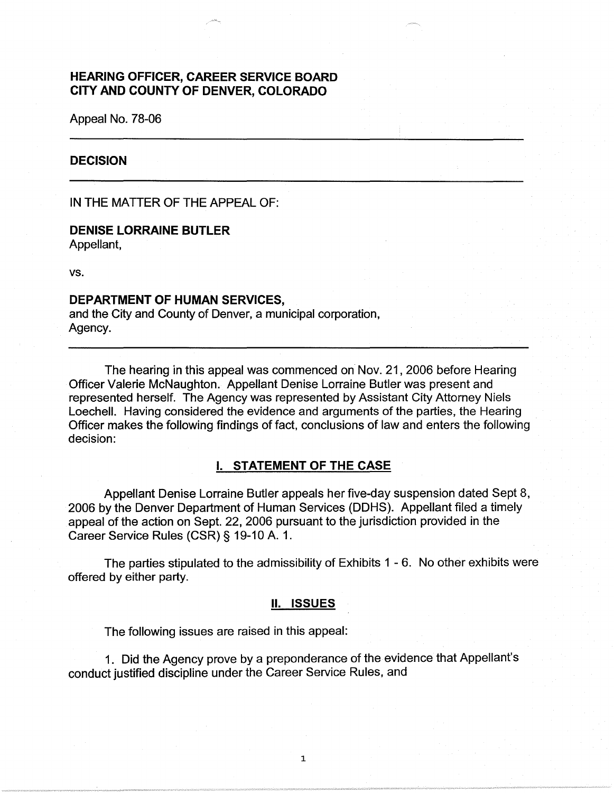# **HEARING OFFICER, CAREER SERVICE BOARD CITY AND COUNTY OF DENVER, COLORADO**

Appeal No. 78-06

#### **DECISION**

IN THE MATTER OF THE APPEAL OF:

# **DENISE LORRAINE BUTLER**

Appellant,

vs.

## **DEPARTMENT OF HUMAN SERVICES,**

and the City and County of Denver, a municipal corporation, Agency.

The hearing in this appeal was commenced on Nov. 21, 2006 before Hearing Officer Valerie McNaughton. Appellant Denise Lorraine Butler was present and represented herself. The Agency was represented by Assistant City Attorney Niels Loechell. Having considered the evidence and arguments of the parties, the Hearing Officer makes the following findings of fact, conclusions of law and enters the following decision:

## I. **STATEMENT OF THE CASE**

Appellant Denise Lorraine Butler appeals her five-day suspension dated Sept 8, 2006 by the Denver Department of Human Services (OOHS). Appellant filed a timely appeal of the action on Sept. 22, 2006 pursuant to the jurisdiction provided in the Career Service Rules (CSR) § 19-10 A. 1.

The parties stipulated to the admissibility of Exhibits 1 - 6. No other exhibits were offered by either party.

#### **II. ISSUES**

The following issues are raised in this appeal:

1. Did the Agency prove by a preponderance of the evidence that Appellant's conduct justified discipline under the Career Service Rules, and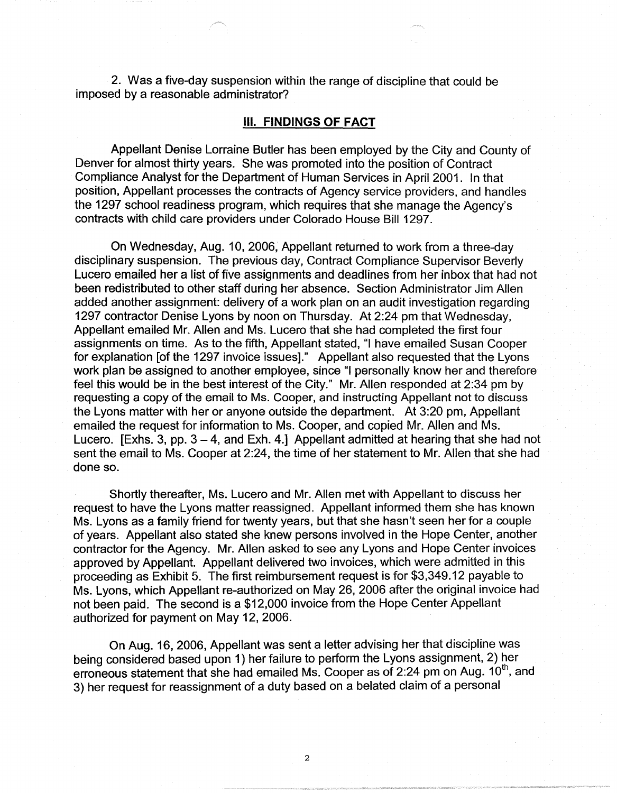2. Was a five-day suspension within the range of discipline that could be imposed by a reasonable administrator?

#### Ill. **FINDINGS OF FACT**

Appellant Denise Lorraine Butler has been employed by the City and County of Denver for almost thirty years. She was promoted into the position of Contract Compliance Analyst for the Department of Human Services in April 2001. In that position, Appellant processes the contracts of Agency service providers, and handles the 1297 school readiness program, which requires that she manage the Agency's contracts with child care providers under Colorado House Bill 1297.

On Wednesday, Aug. 10, 2006, Appellant returned to work from a three-day disciplinary suspension. The previous day, Contract Compliance Supervisor Beverly Lucero emailed her a list of five assignments and deadlines from her inbox that had not been redistributed to other staff during her absence. Section Administrator Jim Allen added another assignment: delivery of a work plan on an audit investigation regarding 1297 contractor Denise Lyons by noon on Thursday. At 2:24 pm that Wednesday, Appellant emailed Mr. Allen and Ms. Lucero that she had completed the first four assignments on time. As to the fifth, Appellant stated, "I have emailed Susan Cooper for explanation [of the 1297 invoice issues]." Appellant also requested that the Lyons work plan be assigned to another employee, since "I personally know her and therefore feel this would be in the best interest of the City." Mr. Allen responded at 2:34 pm by requesting a copy of the email to Ms. Cooper, and instructing Appellant not to discuss the Lyons matter with her or anyone outside the department. At 3:20 pm, Appellant emailed the request for information to Ms. Cooper, and copied Mr. Allen and Ms. Lucero. [Exhs. 3, pp.  $3 - 4$ , and Exh. 4.] Appellant admitted at hearing that she had not sent the email to Ms. Cooper at 2:24, the time of her statement to Mr. Allen that she had done so.

Shortly thereafter, Ms. Lucero and Mr. Allen met with Appellant to discuss her request to have the Lyons matter reassigned. Appellant informed them she has known Ms. Lyons as a family friend for twenty years, but that she hasn't seen her for a couple of years. Appellant also stated she knew persons involved in the Hope Center, another contractor for the Agency. Mr. Allen asked to see any Lyons and Hope Center invoices approved by Appellant. Appellant delivered two invoices, which were admitted in this proceeding as Exhibit 5. The first reimbursement request is for \$3,349.12 payable to Ms. Lyons, which Appellant re-authorized on May 26, 2006 after the original invoice had not been paid. The second is a \$12,000 invoice from the Hope Center Appellant authorized for payment on May 12, 2006.

On Aug. 16, 2006, Appellant was sent a letter advising her that discipline was being considered based upon 1) her failure to perform the Lyons assignment, 2) her erroneous statement that she had emailed Ms. Cooper as of 2:24 pm on Aug. 10<sup>th</sup>, and 3) her request for reassignment of a duty based on a belated claim of a personal

2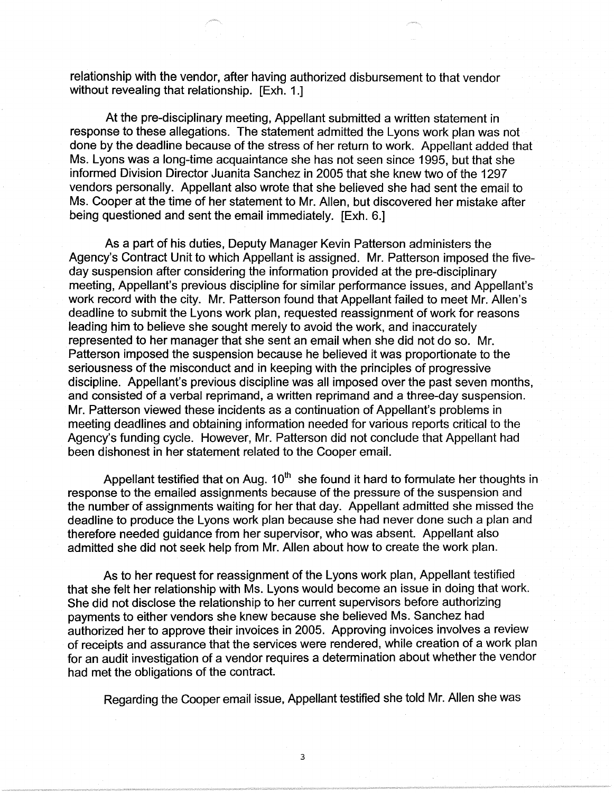relationship with the vendor, after having authorized disbursement to that vendor without revealing that relationship. [Exh. 1.]

At the pre-disciplinary meeting, Appellant submitted a written statement in response to these allegations. The statement admitted the Lyons work plan was not done by the deadline because of the stress of her return to work. Appellant added that Ms. Lyons was a long-time acquaintance she has not seen since 1995, but that she informed Division Director Juanita Sanchez in 2005 that she knew two of the 1297 vendors personally. Appellant also wrote that she believed she had sent the email to Ms. Cooper at the time of her statement to Mr. Allen, but discovered her mistake after being questioned and sent the email immediately. [Exh. 6.]

As a part of his duties, Deputy Manager Kevin Patterson administers the Agency's Contract Unit to which Appellant is assigned. Mr. Patterson imposed the fiveday suspension after considering the information provided at the pre-disciplinary meeting, Appellant's previous discipline for similar performance issues, and Appellant's work record with the city. Mr. Patterson found that Appellant failed to meet Mr. Allen's deadline to submit the Lyons work plan, requested reassignment of work for reasons leading him to believe she sought merely to avoid the work, and inaccurately represented to her manager that she sent an email when she did not do so. Mr. Patterson imposed the suspension because he believed it was proportionate to the seriousness of the misconduct and in keeping with the principles of progressive discipline. Appellant's previous discipline was all imposed over the past seven months, and consisted of a verbal reprimand, a written reprimand and a three-day suspension. Mr. Patterson viewed these incidents as a continuation of Appellant's problems in meeting deadlines and obtaining information needed for various reports critical to the Agency's funding cycle. However, Mr. Patterson did not conclude that Appellant had been dishonest in her statement related to the Cooper email.

Appellant testified that on Aug.  $10<sup>th</sup>$  she found it hard to formulate her thoughts in response to the emailed assignments because of the pressure of the suspension and the number of assignments waiting for her that day. Appellant admitted she missed the deadline to produce the Lyons work plan because she had never done such a plan and therefore needed guidance from her supervisor, who was absent. Appellant also admitted she did not seek help from Mr. Allen about how to create the work plan.

As to her request for reassignment of the Lyons work plan, Appellant testified that she felt her relationship with Ms. Lyons would become an issue in doing that work. She did not disclose the relationship to her current supervisors before authorizing payments to either vendors she knew because she believed Ms. Sanchez had authorized her to approve their invoices in 2005. Approving invoices involves a review of receipts and assurance that the services were rendered, while creation of a work plan for an audit investigation of a vendor requires a determination about whether the vendor had met the obligations of the contract.

Regarding the Cooper email issue, Appellant testified she told Mr. Allen she was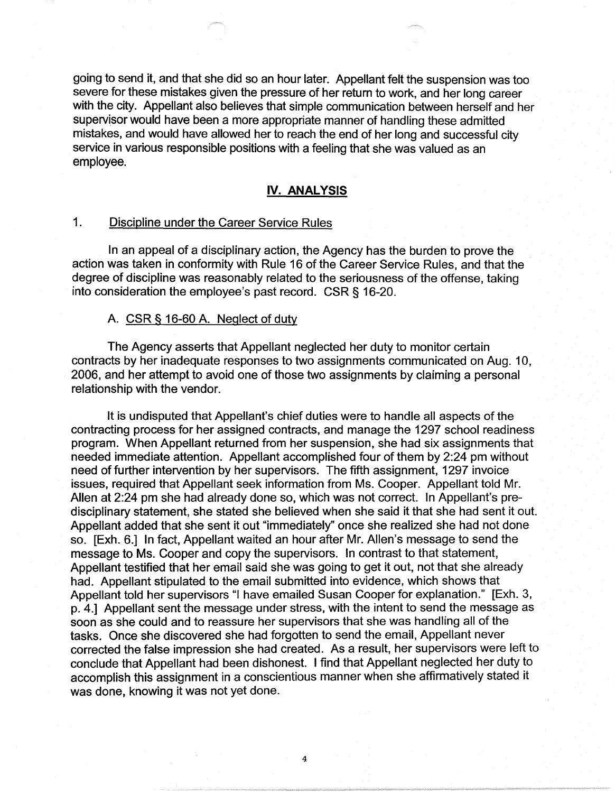going to send it, and that she did so an hour later. Appellant felt the suspension was too severe for these mistakes given the pressure of her return to work, and her long career with the city. Appellant also believes that simple communication between herself and her supervisor would have been a more appropriate manner of handling these admitted mistakes, and would have allowed her to reach the end of her long and successful city service in various responsible positions with a feeling that she was valued as an employee.

## **IV. ANALYSIS**

## 1. Discipline under the Career Service Rules

In an appeal of a disciplinary action, the Agency has the burden to prove the action was taken in conformity with Rule 16 of the Career Service Rules, and that the degree of discipline was reasonably related to the seriousness of the offense, taking into consideration the employee's past record. CSR § 16-20.

#### A. CSR § 16-60 A. Neglect of duty

The Agency asserts that Appellant neglected her duty to monitor certain contracts by her inadequate responses to two assignments communicated on Aug. 10, 2006, and her attempt to avoid one of those two assignments by claiming a personal relationship with the vendor.

It is undisputed that Appellant's chief duties were to handle all aspects of the contracting process for her assigned contracts, and manage the 1297 school readiness program. When Appellant returned from her suspension, she had six assignments that needed immediate attention. Appellant accomplished four of them by 2:24 pm without need of further intervention by her supervisors. The fifth assignment, 1297 invoice issues, required that Appellant seek information from Ms. Cooper. Appellant told Mr. Allen at 2:24 pm she had already done so, which was not correct. In Appellant's predisciplinary statement, she stated she believed when she said it that she had sent it out. Appellant added that she sent it out "immediately" once she realized she had not done so. [Exh. 6.] In fact, Appellant waited an hour after Mr. Allen's message to send the message to Ms. Cooper and copy the supervisors. In contrast to that statement, Appellant testified that her email said she was going to get it out, not that she already had. Appellant stipulated to the email submitted into evidence, which shows that Appellant told her supervisors "I have emailed Susan Cooper for explanation." [Exh. 3, p. 4.] Appellant sent the message under stress, with the intent to send the message as soon as she could and to reassure her supervisors that she was handling all of the tasks. Once she discovered she had forgotten to send the email, Appellant never corrected the false impression she had created. As a result, her supervisors were left to conclude that Appellant had been dishonest. I find that Appellant neglected her duty to accomplish this assignment in a conscientious manner when she affirmatively stated it was done, knowing it was not yet done.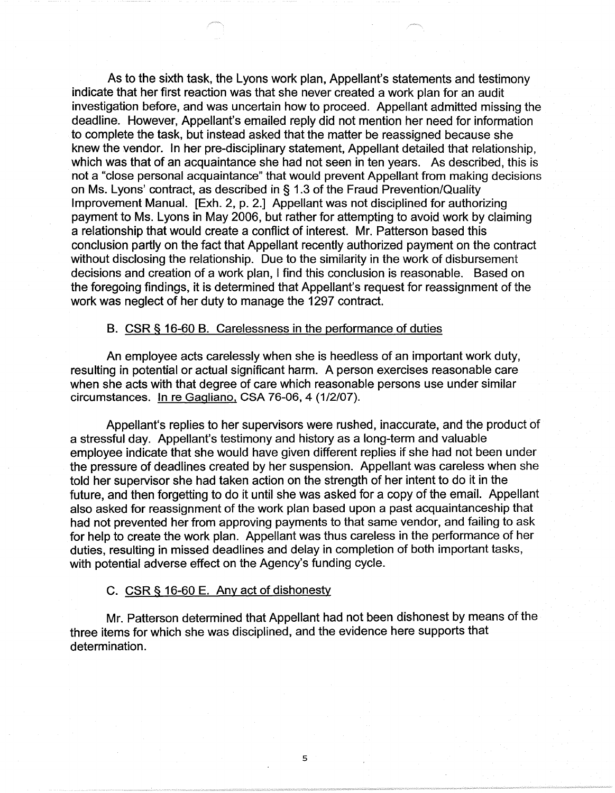As to the sixth task, the Lyons work plan, Appellant's statements and testimony indicate that her first reaction was that she never created a work plan for an audit investigation before, and was uncertain how to proceed. Appellant admitted missing the deadline. However, Appellant's emailed reply did not mention her need for information to complete the task, but instead asked that the matter be reassigned because she knew the vendor. In her pre-disciplinary statement, Appellant detailed that relationship, which was that of an acquaintance she had not seen in ten years. As described, this is not a "close personal acquaintance" that would prevent Appellant from making decisions on Ms. Lyons' contract, as described in§ 1.3 of the Fraud Prevention/Quality Improvement Manual. [Exh. 2, p. 2.] Appellant was not disciplined for authorizing payment to Ms. Lyons in May 2006, but rather for attempting to avoid work by claiming a relationship that would create a conflict of interest. Mr. Patterson based this conclusion partly on the fact that Appellant recently authorized payment on the contract without disclosing the relationship. Due to the similarity in the work of disbursement decisions and creation of a work plan, I find this conclusion is reasonable. Based on the foregoing findings, it is determined that Appellant's request for reassignment of the work was neglect of her duty to manage the 1297 contract.

#### B. CSR§ 16-60 B. Carelessness in the performance of duties

An employee acts carelessly when she is heedless of an important work duty, resulting in potential or actual significant harm. A person exercises reasonable care when she acts with that degree of care which reasonable persons use under similar circumstances. In re Gagliano, CSA 76-06, 4 (1/2/07).

Appellant's replies to her supervisors were rushed, inaccurate, and the product of a stressful day. Appellant's testimony and history as a long-term and valuable employee indicate that she would have given different replies if she had not been under the pressure of deadlines created by her suspension. Appellant was careless when she told her supervisor she had taken action on the strength of her intent to do it in the future, and then forgetting to do it until she was asked for a copy of the email. Appellant also asked for reassignment of the work plan based upon a past acquaintanceship that had not prevented her from approving payments to that same vendor, and failing to ask for help to create the work plan. Appellant was thus careless in the performance of her duties, resulting in missed deadlines and delay in completion of both important tasks, with potential adverse effect on the Agency's funding cycle.

#### C. CSR § 16-60 E. Any act of dishonesty

Mr. Patterson determined that Appellant had not been dishonest by means of the three items for which she was disciplined, and the evidence here supports that determination.

5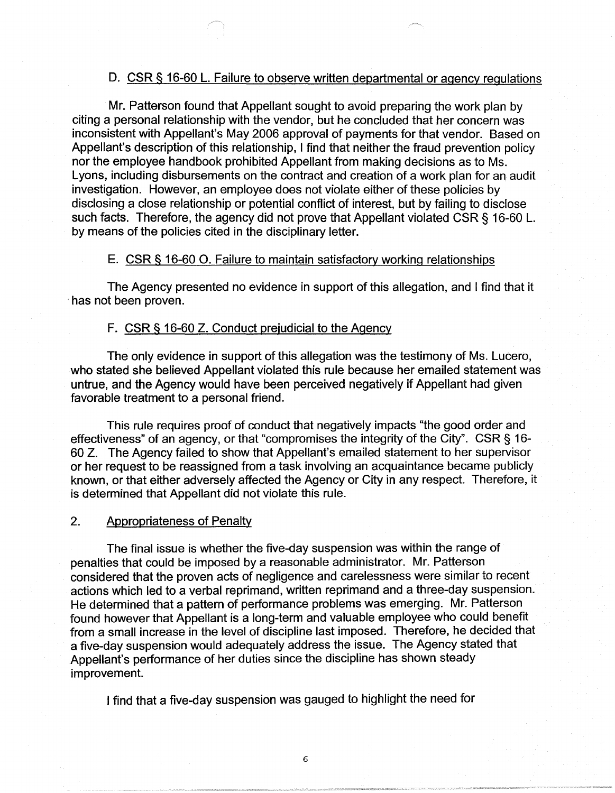## D. CSR § 16-60 L. Failure to observe written departmental or agency regulations

Mr. Patterson found that Appellant sought to avoid preparing the work plan by citing a personal relationship with the vendor, but he concluded that her concern was inconsistent with Appellant's May 2006 approval of payments for that vendor. Based on Appellant's description of this relationship, I find that neither the fraud prevention policy nor the employee handbook prohibited Appellant from making decisions as to Ms. Lyons, including disbursements on the contract and creation of a work plan for an audit investigation. However, an employee does not violate either of these policies by disclosing a close relationship or potential conflict of interest, but by failing to disclose such facts. Therefore, the agency did not prove that Appellant violated CSR § 16-60 L. by means of the policies cited in the disciplinary letter.

## E. CSR § 16-60 0. Failure to maintain satisfactory working relationships

The Agency presented no evidence in support of this allegation, and I find that it · has not been proven.

## F. CSR§ 16-60 Z. Conduct prejudicial to the Agency

The only evidence in support of this allegation was the testimony of Ms. Lucero, who stated she believed Appellant violated this rule because her emailed statement was untrue, and the Agency would have been perceived negatively if Appellant had given favorable treatment to a personal friend.

This rule requires proof of conduct that negatively impacts "the good order and effectiveness" of an agency, or that "compromises the integrity of the City". CSR § 16- 60 Z. The Agency failed to show that Appellant's emailed statement to her supervisor or her request to be reassigned from a task involving an acquaintance became publicly known, or that either adversely affected the Agency or City in any respect. Therefore, it is determined that Appellant did not violate this rule.

#### 2. Appropriateness of Penalty

The final issue is whether the five-day suspension was within the range of penalties that could be imposed by a reasonable administrator. Mr. Patterson considered that the proven acts of negligence and carelessness were similar to recent actions which led to a verbal reprimand, written reprimand and a three-day suspension. He determined that a pattern of performance problems was emerging. Mr. Patterson found however that Appellant is a long-term and valuable employee who could benefit from a small increase in the level of discipline last imposed. Therefore, he decided that a five-day suspension would adequately address the issue. The Agency stated that Appellant's performance of her duties since the discipline has shown steady improvement.

I find that a five-day suspension was gauged to highlight the need for